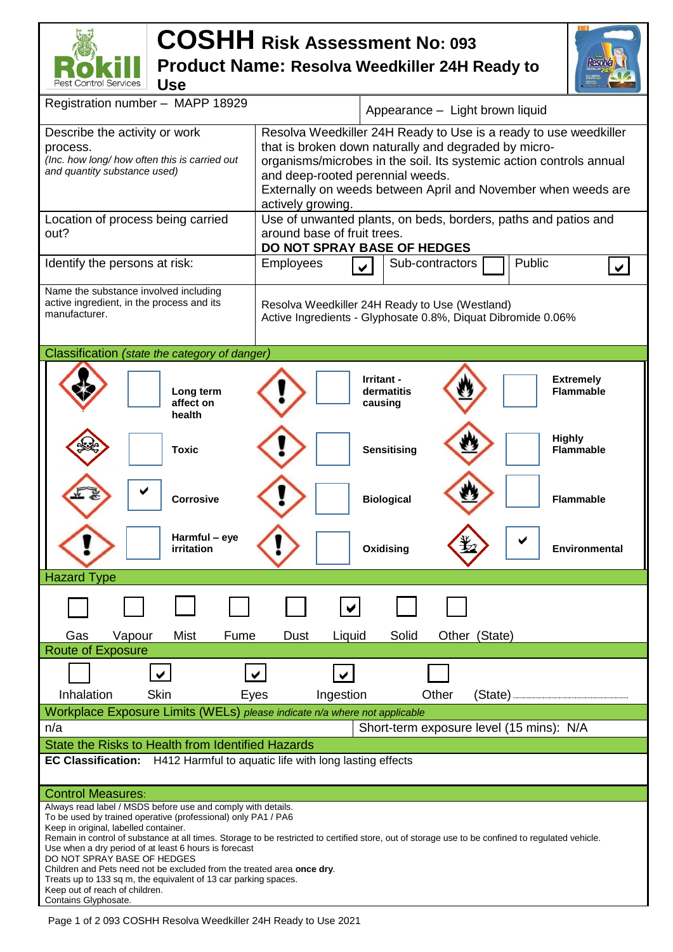## **COSHH Risk Assessment No: <sup>093</sup> Product Name: Resolva Weedkiller 24H Ready to**



| Pest Control Services<br><b>Use</b>                                                                                                                                                                                                                                                                                                                                                                                                                                                                                                                                                                |                                                                                                                                                                                                                                                                                                                           |  |  |  |  |
|----------------------------------------------------------------------------------------------------------------------------------------------------------------------------------------------------------------------------------------------------------------------------------------------------------------------------------------------------------------------------------------------------------------------------------------------------------------------------------------------------------------------------------------------------------------------------------------------------|---------------------------------------------------------------------------------------------------------------------------------------------------------------------------------------------------------------------------------------------------------------------------------------------------------------------------|--|--|--|--|
| Registration number - MAPP 18929                                                                                                                                                                                                                                                                                                                                                                                                                                                                                                                                                                   | Appearance - Light brown liquid                                                                                                                                                                                                                                                                                           |  |  |  |  |
| Describe the activity or work<br>process.<br>(Inc. how long/ how often this is carried out<br>and quantity substance used)                                                                                                                                                                                                                                                                                                                                                                                                                                                                         | Resolva Weedkiller 24H Ready to Use is a ready to use weedkiller<br>that is broken down naturally and degraded by micro-<br>organisms/microbes in the soil. Its systemic action controls annual<br>and deep-rooted perennial weeds.<br>Externally on weeds between April and November when weeds are<br>actively growing. |  |  |  |  |
| Use of unwanted plants, on beds, borders, paths and patios and<br>Location of process being carried                                                                                                                                                                                                                                                                                                                                                                                                                                                                                                |                                                                                                                                                                                                                                                                                                                           |  |  |  |  |
| out?                                                                                                                                                                                                                                                                                                                                                                                                                                                                                                                                                                                               | around base of fruit trees.<br>DO NOT SPRAY BASE OF HEDGES                                                                                                                                                                                                                                                                |  |  |  |  |
| Identify the persons at risk:                                                                                                                                                                                                                                                                                                                                                                                                                                                                                                                                                                      | Public<br>Sub-contractors<br><b>Employees</b>                                                                                                                                                                                                                                                                             |  |  |  |  |
| Name the substance involved including<br>active ingredient, in the process and its<br>manufacturer.                                                                                                                                                                                                                                                                                                                                                                                                                                                                                                | Resolva Weedkiller 24H Ready to Use (Westland)<br>Active Ingredients - Glyphosate 0.8%, Diquat Dibromide 0.06%                                                                                                                                                                                                            |  |  |  |  |
| Classification (state the category of danger)                                                                                                                                                                                                                                                                                                                                                                                                                                                                                                                                                      |                                                                                                                                                                                                                                                                                                                           |  |  |  |  |
| Long term<br>affect on<br>health                                                                                                                                                                                                                                                                                                                                                                                                                                                                                                                                                                   | Irritant -<br><b>Extremely</b><br>dermatitis<br><b>Flammable</b><br>causing                                                                                                                                                                                                                                               |  |  |  |  |
| <b>Toxic</b>                                                                                                                                                                                                                                                                                                                                                                                                                                                                                                                                                                                       | <b>Highly</b><br><b>Sensitising</b><br><b>Flammable</b>                                                                                                                                                                                                                                                                   |  |  |  |  |
| <b>Corrosive</b>                                                                                                                                                                                                                                                                                                                                                                                                                                                                                                                                                                                   | <b>Biological</b><br><b>Flammable</b>                                                                                                                                                                                                                                                                                     |  |  |  |  |
| Harmful - eye<br>irritation                                                                                                                                                                                                                                                                                                                                                                                                                                                                                                                                                                        | Oxidising<br><b>Environmental</b>                                                                                                                                                                                                                                                                                         |  |  |  |  |
| <b>Hazard Type</b>                                                                                                                                                                                                                                                                                                                                                                                                                                                                                                                                                                                 |                                                                                                                                                                                                                                                                                                                           |  |  |  |  |
|                                                                                                                                                                                                                                                                                                                                                                                                                                                                                                                                                                                                    |                                                                                                                                                                                                                                                                                                                           |  |  |  |  |
| Mist<br>Gas<br>Vapour<br>Fume<br><b>Route of Exposure</b>                                                                                                                                                                                                                                                                                                                                                                                                                                                                                                                                          | Solid<br><b>Dust</b><br>Liquid<br>Other (State)                                                                                                                                                                                                                                                                           |  |  |  |  |
| <b>Skin</b><br>Inhalation<br>Eyes                                                                                                                                                                                                                                                                                                                                                                                                                                                                                                                                                                  | Other<br>Ingestion<br>(State)                                                                                                                                                                                                                                                                                             |  |  |  |  |
| Workplace Exposure Limits (WELs) please indicate n/a where not applicable                                                                                                                                                                                                                                                                                                                                                                                                                                                                                                                          |                                                                                                                                                                                                                                                                                                                           |  |  |  |  |
| Short-term exposure level (15 mins): N/A<br>n/a                                                                                                                                                                                                                                                                                                                                                                                                                                                                                                                                                    |                                                                                                                                                                                                                                                                                                                           |  |  |  |  |
| State the Risks to Health from Identified Hazards                                                                                                                                                                                                                                                                                                                                                                                                                                                                                                                                                  |                                                                                                                                                                                                                                                                                                                           |  |  |  |  |
| EC Classification: H412 Harmful to aquatic life with long lasting effects                                                                                                                                                                                                                                                                                                                                                                                                                                                                                                                          |                                                                                                                                                                                                                                                                                                                           |  |  |  |  |
| <b>Control Measures:</b>                                                                                                                                                                                                                                                                                                                                                                                                                                                                                                                                                                           |                                                                                                                                                                                                                                                                                                                           |  |  |  |  |
| Always read label / MSDS before use and comply with details.<br>To be used by trained operative (professional) only PA1 / PA6<br>Keep in original, labelled container.<br>Remain in control of substance at all times. Storage to be restricted to certified store, out of storage use to be confined to regulated vehicle.<br>Use when a dry period of at least 6 hours is forecast<br>DO NOT SPRAY BASE OF HEDGES<br>Children and Pets need not be excluded from the treated area once dry.<br>Treats up to 133 sq m, the equivalent of 13 car parking spaces.<br>Keep out of reach of children. |                                                                                                                                                                                                                                                                                                                           |  |  |  |  |
| Contains Glyphosate.                                                                                                                                                                                                                                                                                                                                                                                                                                                                                                                                                                               |                                                                                                                                                                                                                                                                                                                           |  |  |  |  |